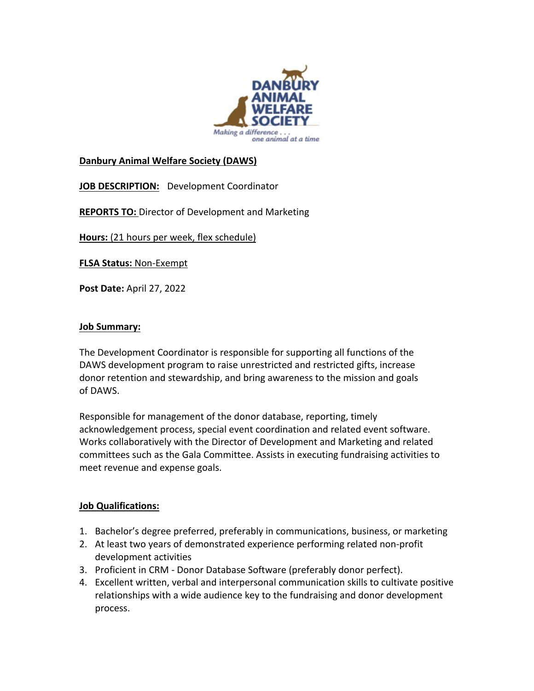

## **Danbury Animal Welfare Society (DAWS)**

**JOB DESCRIPTION:** Development Coordinator

**REPORTS TO:** Director of Development and Marketing

**Hours:** (21 hours per week, flex schedule)

**FLSA Status:** Non-Exempt

**Post Date:** April 27, 2022

## **Job Summary:**

The Development Coordinator is responsible for supporting all functions of the DAWS development program to raise unrestricted and restricted gifts, increase donor retention and stewardship, and bring awareness to the mission and goals of DAWS.

Responsible for management of the donor database, reporting, timely acknowledgement process, special event coordination and related event software. Works collaboratively with the Director of Development and Marketing and related committees such as the Gala Committee. Assists in executing fundraising activities to meet revenue and expense goals.

## **Job Qualifications:**

- 1. Bachelor's degree preferred, preferably in communications, business, or marketing
- 2. At least two years of demonstrated experience performing related non-profit development activities
- 3. Proficient in CRM Donor Database Software (preferably donor perfect).
- 4. Excellent written, verbal and interpersonal communication skills to cultivate positive relationships with a wide audience key to the fundraising and donor development process.